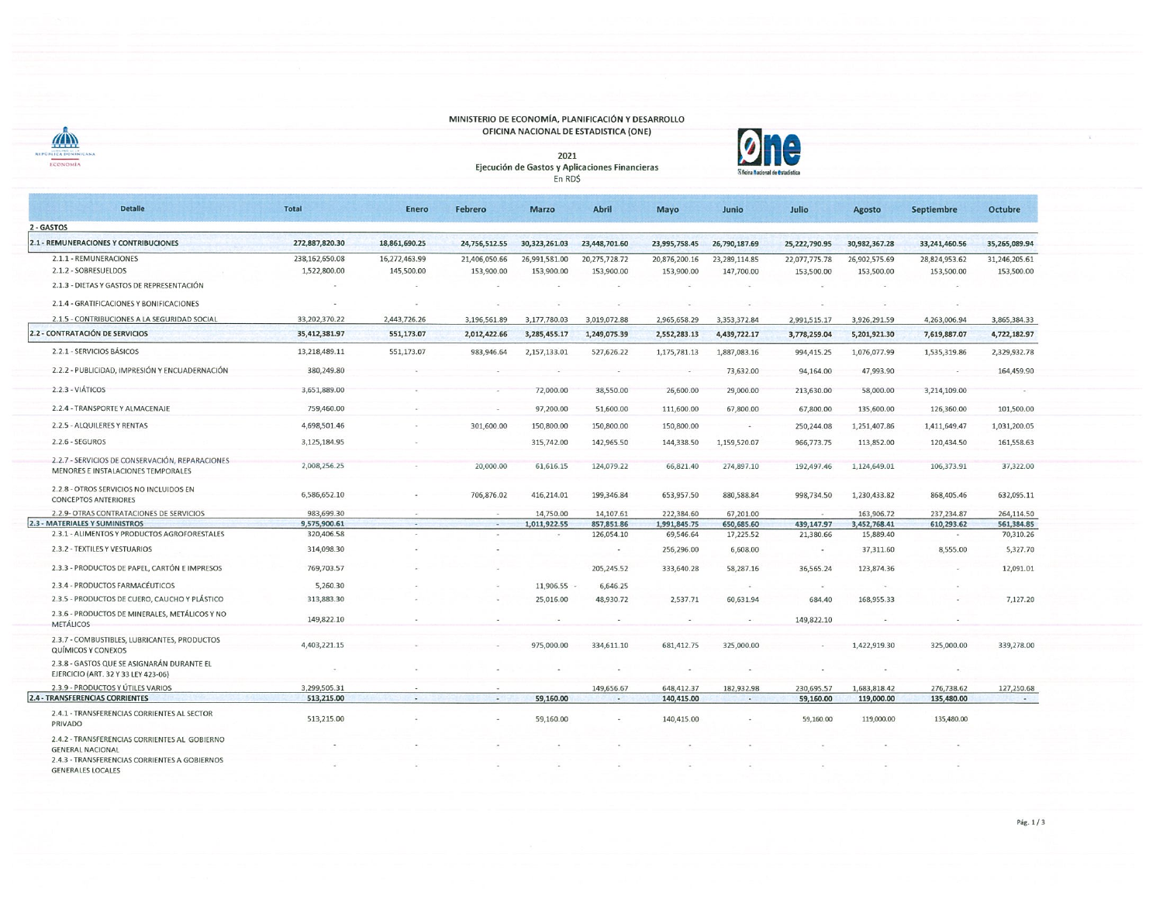## MINISTERIO DE ECONOMÍA, PLANIFICACIÓN Y DESARROLLO OFICINA NACIONAL DE ESTADISTICA (ONE)

Ejecución de Gastos y Aplicaciones Financieras<br>En RD\$

 $\begin{picture}(20,10) \put(0,0){\line(1,0){100}} \put(15,0){\line(1,0){100}} \put(15,0){\line(1,0){100}} \put(15,0){\line(1,0){100}} \put(15,0){\line(1,0){100}} \put(15,0){\line(1,0){100}} \put(15,0){\line(1,0){100}} \put(15,0){\line(1,0){100}} \put(15,0){\line(1,0){100}} \put(15,0){\line(1,0){100}} \put(15,0){\line(1,0){100}} \$ 



2021

| <b>Detalle</b>                                                                        | <b>Total</b>   | Enero                    | Febrero        | <b>Marzo</b>    | Abril         | Mayo          | Junio                    | Julio                    | Agosto        | Septiembre    | Octubre                  |
|---------------------------------------------------------------------------------------|----------------|--------------------------|----------------|-----------------|---------------|---------------|--------------------------|--------------------------|---------------|---------------|--------------------------|
| 2 - GASTOS                                                                            |                |                          |                |                 |               |               |                          |                          |               |               |                          |
| 2.1 - REMUNERACIONES Y CONTRIBUCIONES                                                 | 272,887,820.30 | 18,861,690.25            | 24,756,512.55  | 30, 323, 261.03 | 23,448,701.60 | 23,995,758.45 | 26,790,187.69            | 25,222,790.95            | 30,982,367.28 | 33,241,460.56 | 35,265,089.94            |
| 2.1.1 - REMUNERACIONES                                                                | 238,162,650.08 | 16,272,463.99            | 21,406,050.66  | 26,991,581.00   | 20,275,728.72 | 20,876,200.16 | 23,289,114.85            | 22,077,775.78            | 26,902,575.69 | 28,824,953.62 | 31,246,205.61            |
| 2.1.2 - SOBRESUELDOS                                                                  | 1,522,800.00   | 145,500.00               | 153,900.00     | 153,900.00      | 153,900.00    | 153,900.00    | 147,700.00               | 153,500.00               | 153,500.00    | 153,500.00    | 153,500.00               |
| 2.1.3 - DIETAS Y GASTOS DE REPRESENTACIÓN                                             |                |                          |                |                 |               |               |                          |                          |               |               |                          |
| 2.1.4 - GRATIFICACIONES Y BONIFICACIONES                                              |                |                          |                |                 |               |               |                          |                          |               |               |                          |
| 2.1.5 - CONTRIBUCIONES A LA SEGURIDAD SOCIAL                                          | 33,202,370.22  | 2,443,726.26             | 3,196,561.89   | 3,177,780.03    | 3,019,072.88  | 2,965,658.29  | 3,353,372.84             | 2,991,515.17             | 3,926,291.59  | 4,263,006.94  | 3,865,384.33             |
| 2.2 - CONTRATACIÓN DE SERVICIOS                                                       | 35,412,381.97  | 551,173.07               | 2,012,422.66   | 3,285,455.17    | 1,249,075.39  | 2,552,283.13  | 4,439,722.17             | 3,778,259.04             | 5,201,921.30  | 7,619,887.07  | 4,722,182.97             |
| 2.2.1 - SERVICIOS BÁSICOS                                                             | 13,218,489.11  | 551,173.07               | 983,946.64     | 2,157,133.01    | 527,626.22    | 1,175,781.13  | 1,887,083.16             | 994,415.25               | 1,076,077.99  | 1,535,319.86  | 2,329,932.78             |
| 2.2.2 - PUBLICIDAD, IMPRESIÓN Y ENCUADERNACIÓN                                        | 380,249.80     |                          |                | - 2             |               |               | 73,632.00                | 94,164.00                | 47,993.90     | ٠.            | 164,459.90               |
| 2.2.3 - VIÁTICOS                                                                      | 3,651,889.00   |                          |                | 72,000.00       | 38,550.00     | 26,600.00     | 29,000.00                | 213,630.00               | 58,000.00     | 3,214,109.00  |                          |
| 2.2.4 - TRANSPORTE Y ALMACENAJE                                                       | 759,460.00     |                          |                | 97,200.00       | 51,600.00     | 111,600.00    | 67,800.00                | 67,800.00                | 135,600.00    | 126,360.00    | 101,500.00               |
| 2.2.5 - ALQUILERES Y RENTAS                                                           | 4,698,501.46   |                          | 301,600.00     | 150,800.00      | 150,800.00    | 150,800.00    |                          | 250,244.08               | 1,251,407.86  | 1,411,649.47  | 1,031,200.05             |
| 2.2.6 - SEGUROS                                                                       | 3,125,184.95   |                          |                | 315,742.00      | 142,965.50    | 144,338.50    | 1,159,520.07             | 966,773.75               | 113,852.00    | 120,434.50    | 161,558.63               |
| 2.2.7 - SERVICIOS DE CONSERVACIÓN, REPARACIONES<br>MENORES E INSTALACIONES TEMPORALES | 2,008,256.25   |                          | 20,000.00      | 61,616.15       | 124,079.22    | 66,821.40     | 274,897.10               | 192,497.46               | 1,124,649.01  | 106,373.91    | 37,322.00                |
| 2.2.8 - OTROS SERVICIOS NO INCLUIDOS EN<br><b>CONCEPTOS ANTERIORES</b>                | 6,586,652.10   |                          | 706,876.02     | 416,214.01      | 199,346.84    | 653,957.50    | 880,588.84               | 998,734.50               | 1,230,433.82  | 868,405.46    | 632,095.11               |
| 2.2.9- OTRAS CONTRATACIONES DE SERVICIOS                                              | 983,699.30     |                          |                | 14,750.00       | 14,107.61     | 222,384.60    | 67,201.00                |                          | 163,906.72    | 237,234.87    | 264,114.50               |
| <b>2.3 - MATERIALES Y SUMINISTROS</b>                                                 | 9,575,900.61   | $\overline{\phantom{a}}$ | $\sim$         | 1,011,922.55    | 857,851.86    | 1,991,845.75  | 650,685.60               | 439,147.97               | 3,452,768.41  | 610,293.62    | 561,384.85               |
| 2.3.1 - ALIMENTOS Y PRODUCTOS AGROFORESTALES                                          | 320,406.58     |                          |                | $\sim$          | 126,054.10    | 69,546.64     | 17,225.52                | 21,380.66                | 15,889.40     | $\sim$        | 70,310.26                |
| 2.3.2 - TEXTILES Y VESTUARIOS                                                         | 314,098.30     |                          |                |                 | $\sim$        | 256,296.00    | 6,608.00                 | $\overline{\phantom{a}}$ | 37,311.60     | 8,555.00      | 5,327.70                 |
| 2.3.3 - PRODUCTOS DE PAPEL, CARTÓN E IMPRESOS                                         | 769,703.57     |                          |                |                 | 205,245.52    | 333,640.28    | 58,287.16                | 36,565.24                | 123,874.36    |               | 12,091.01                |
| 2.3.4 - PRODUCTOS FARMACÉUTICOS                                                       | 5,260.30       |                          |                | 11,906.55       | 6,646.25      |               | $\overline{\phantom{a}}$ | $\sim$                   | <b>Ca</b>     |               |                          |
| 2.3.5 - PRODUCTOS DE CUERO, CAUCHO Y PLÁSTICO                                         | 313,883.30     |                          |                | 25,016.00       | 48,930.72     | 2,537.71      | 60,631.94                | 684.40                   | 168,955.33    |               | 7,127.20                 |
| 2.3.6 - PRODUCTOS DE MINERALES, METÁLICOS Y NO<br><b>METÁLICOS</b>                    | 149,822.10     |                          |                | VG.             |               | $\sim$        | $\sim$                   | 149,822.10               | -2            |               |                          |
| 2.3.7 - COMBUSTIBLES, LUBRICANTES, PRODUCTOS<br><b>QUÍMICOS Y CONEXOS</b>             | 4,403,221.15   |                          |                | 975,000.00      | 334,611.10    | 681,412.75    | 325,000.00               |                          | 1,422,919.30  | 325,000.00    | 339,278.00               |
| 2.3.8 - GASTOS QUE SE ASIGNARÁN DURANTE EL<br>EJERCICIO (ART. 32 Y 33 LEY 423-06)     |                |                          |                |                 |               |               |                          |                          |               |               |                          |
| 2.3.9 - PRODUCTOS Y ÚTILES VARIOS                                                     | 3,299,505.31   |                          |                |                 | 149,656.67    | 648,412.37    | 182,932.98               | 230,695.57               | 1,683,818.42  | 276,738.62    | 127,250.68               |
| <b>2.4 - TRANSFERENCIAS CORRIENTES</b>                                                | 513,215.00     | $\overline{a}$           | $\overline{a}$ | 59,160.00       | $\sim$        | 140,415.00    | $\overline{\phantom{a}}$ | 59,160.00                | 119,000.00    | 135,480.00    | $\overline{\phantom{a}}$ |
| 2.4.1 - TRANSFERENCIAS CORRIENTES AL SECTOR<br>PRIVADO                                | 513,215.00     |                          |                | 59,160.00       |               | 140,415.00    |                          | 59,160.00                | 119,000.00    | 135,480.00    |                          |
| 2.4.2 - TRANSFERENCIAS CORRIENTES AL GOBIERNO<br><b>GENERAL NACIONAL</b>              |                |                          |                |                 |               |               |                          |                          |               |               |                          |
| 2.4.3 - TRANSFERENCIAS CORRIENTES A GOBIERNOS<br><b>GENERALES LOCALES</b>             |                |                          |                |                 |               |               |                          |                          |               |               |                          |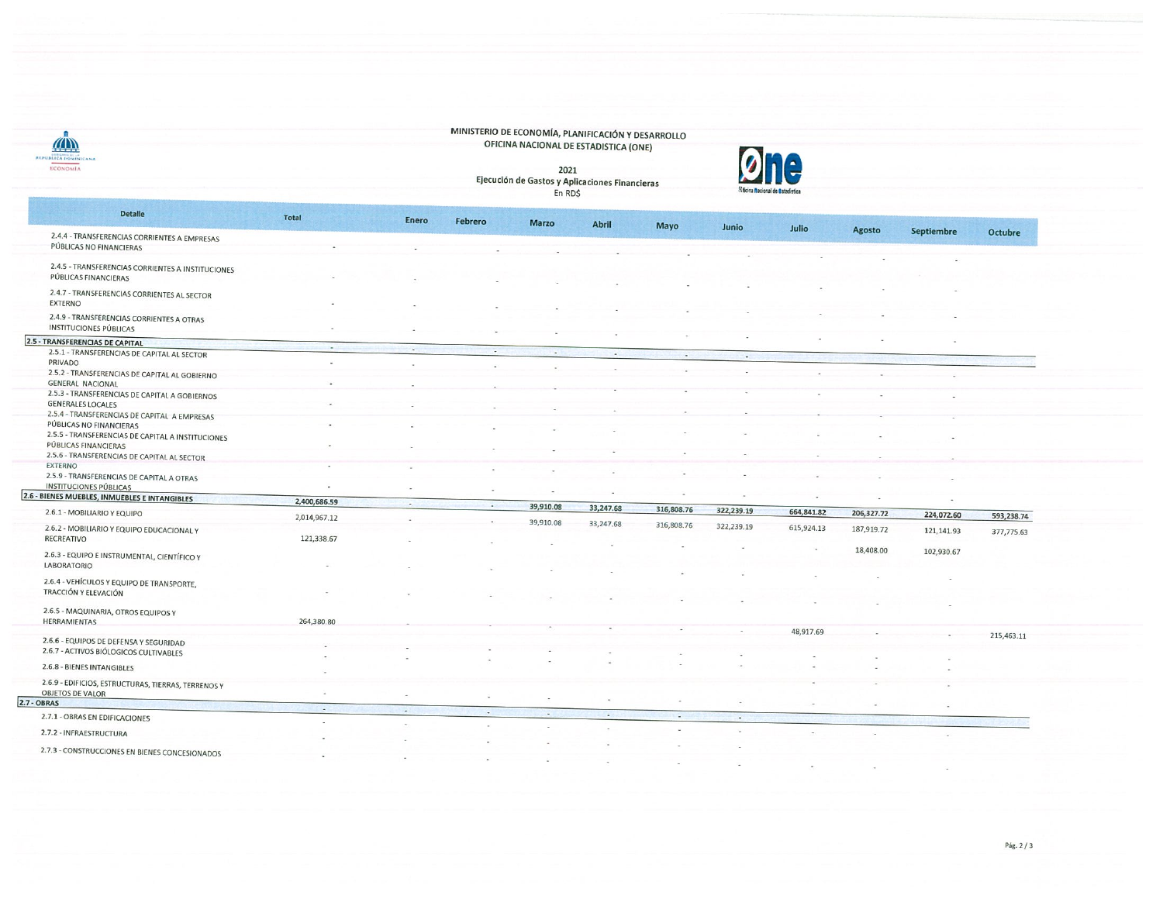MINISTERIO DE ECONOMÍA, PLANIFICACIÓN Y DESARROLLO OFICINA NACIONAL DE ESTADISTICA (ONE)

En ROS

 $\begin{minipage}{0.5\textwidth} \begin{picture}(10,10) \label{fig:2} \put(0,0){\line(1,0){100}} \put(0,0){\line(1,0){100}} \put(0,0){\line(1,0){100}} \put(0,0){\line(1,0){100}} \put(0,0){\line(1,0){100}} \put(0,0){\line(1,0){100}} \put(0,0){\line(1,0){100}} \put(0,0){\line(1,0){100}} \put(0,0){\line(1,0){100}} \put(0,0){\line(1,0){100}} \put(0,0){\$ 



| <b>Detalle</b>                                      | Total                    | Enero  | Febrero        | Marzo     | Abril          | Mayo                     | Junio      | Julio      |            |                          |            |
|-----------------------------------------------------|--------------------------|--------|----------------|-----------|----------------|--------------------------|------------|------------|------------|--------------------------|------------|
| 2.4.4 - TRANSFERENCIAS CORRIENTES A EMPRESAS        |                          |        |                |           |                |                          |            |            | Agosto     | Septiembre               | Octubre    |
| PÚBLICAS NO FINANCIERAS                             |                          |        |                |           |                |                          |            |            |            |                          |            |
|                                                     |                          |        |                |           |                |                          |            |            |            |                          |            |
| 2.4.5 - TRANSFERENCIAS CORRIENTES A INSTITUCIONES   |                          |        |                |           |                |                          |            |            |            |                          |            |
| PÚBLICAS FINANCIERAS                                |                          |        |                |           |                |                          |            |            |            |                          |            |
|                                                     |                          |        |                |           |                |                          |            |            |            |                          |            |
| 2.4.7 - TRANSFERENCIAS CORRIENTES AL SECTOR         |                          |        |                |           |                |                          |            |            |            |                          |            |
| <b>EXTERNO</b>                                      |                          |        |                |           |                |                          |            |            |            |                          |            |
| 2.4.9 - TRANSFERENCIAS CORRIENTES A OTRAS           |                          |        |                |           |                |                          |            |            |            |                          |            |
| <b>INSTITUCIONES PÚBLICAS</b>                       |                          |        |                |           |                |                          |            |            |            |                          |            |
|                                                     |                          |        |                |           |                |                          |            |            |            |                          |            |
| <b>2.5 - TRANSFERENCIAS DE CAPITAL</b>              | ۰.                       |        | $\overline{a}$ |           |                |                          |            |            |            |                          |            |
| 2.5.1 - TRANSFERENCIAS DE CAPITAL AL SECTOR         |                          |        |                | $\sim$    | $\overline{a}$ |                          | $\sim$     |            |            |                          |            |
| PRIVADO                                             |                          |        |                |           |                |                          |            |            |            |                          |            |
| 2.5.2 - TRANSFERENCIAS DE CAPITAL AL GOBIERNO       |                          |        |                |           |                |                          |            |            |            |                          |            |
| <b>GENERAL NACIONAL</b>                             |                          |        |                |           |                |                          |            |            |            |                          |            |
| 2.5.3 - TRANSFERENCIAS DE CAPITAL A GOBIERNOS       |                          |        |                |           |                |                          |            |            |            |                          |            |
| <b>GENERALES LOCALES</b>                            |                          |        |                |           |                |                          |            |            |            |                          |            |
| 2.5.4 - TRANSFERENCIAS DE CAPITAL A EMPRESAS        |                          |        |                |           |                |                          |            |            |            |                          |            |
| PÚBLICAS NO FINANCIERAS                             |                          |        |                |           |                |                          |            |            |            |                          |            |
| 2.5.5 - TRANSFERENCIAS DE CAPITAL A INSTITUCIONES   |                          |        |                |           |                |                          |            |            |            |                          |            |
| PÚBLICAS FINANCIERAS                                |                          |        |                |           |                |                          |            |            |            |                          |            |
| 2.5.6 - TRANSFERENCIAS DE CAPITAL AL SECTOR         |                          |        |                |           |                |                          |            |            |            |                          |            |
| <b>EXTERNO</b>                                      |                          |        |                |           |                |                          |            |            |            |                          |            |
| 2.5.9 - TRANSFERENCIAS DE CAPITAL A OTRAS           |                          |        |                |           |                |                          |            |            |            |                          |            |
| <b>INSTITUCIONES PÚBLICAS</b>                       | ٠.                       |        |                |           |                |                          |            |            |            |                          |            |
| 2.6 - BIENES MUEBLES, INMUEBLES E INTANGIBLES       |                          |        |                |           |                |                          |            |            |            |                          |            |
|                                                     | 2,400,686.59             | $\sim$ | $\sim$         | 39,910.08 | 33,247.68      | 316,808.76               | 322,239.19 |            |            |                          |            |
| 2.6.1 - MOBILIARIO Y EQUIPO                         | 2,014,967.12             |        |                |           |                |                          |            | 664,841.82 | 206,327.72 | 224,072.60               | 593,238.74 |
| 2.6.2 - MOBILIARIO Y EQUIPO EDUCACIONAL Y           |                          |        |                | 39,910.08 | 33,247.68      | 316,808.76               | 322,239.19 | 615,924.13 | 187,919.72 | 121, 141.93              | 377,775.63 |
| RECREATIVO                                          | 121,338.67               |        |                |           |                |                          |            |            |            |                          |            |
|                                                     |                          |        |                |           |                |                          |            |            | 18,408.00  |                          |            |
| 2.6.3 - EQUIPO E INSTRUMENTAL, CIENTÍFICO Y         |                          |        |                |           |                |                          |            |            |            | 102,930.67               |            |
| LABORATORIO                                         |                          |        |                |           |                |                          |            |            |            |                          |            |
|                                                     |                          |        |                |           |                |                          |            |            |            |                          |            |
| 2.6.4 - VEHÍCULOS Y EQUIPO DE TRANSPORTE,           |                          |        |                |           |                |                          |            |            |            |                          |            |
| TRACCIÓN Y ELEVACIÓN                                |                          |        |                |           |                |                          |            |            |            |                          |            |
|                                                     |                          |        |                |           |                |                          |            |            |            |                          |            |
| 2.6.5 - MAQUINARIA, OTROS EQUIPOS Y                 |                          |        |                |           |                |                          |            |            |            |                          |            |
| <b>HERRAMIENTAS</b>                                 | 264,380.80               |        |                |           |                |                          |            |            |            |                          |            |
| 2.6.6 - EQUIPOS DE DEFENSA Y SEGURIDAD              |                          |        |                |           |                |                          |            | 48,917.69  |            |                          | 215,463.11 |
|                                                     |                          |        |                |           |                |                          |            |            |            |                          |            |
| 2.6.7 - ACTIVOS BIÓLOGICOS CULTIVABLES              |                          |        |                |           |                |                          |            |            |            |                          |            |
| 2.6.8 - BIENES INTANGIBLES                          |                          |        |                |           |                |                          |            |            |            |                          |            |
|                                                     |                          |        |                |           |                |                          |            |            |            |                          |            |
| 2.6.9 - EDIFICIOS, ESTRUCTURAS, TIERRAS, TERRENOS Y |                          |        |                |           |                |                          |            |            |            |                          |            |
| <b>OBJETOS DE VALOR</b>                             |                          |        |                |           |                |                          |            |            |            |                          |            |
| 2.7 - OBRAS                                         | $\overline{\phantom{a}}$ | $\sim$ |                |           |                |                          |            |            |            |                          |            |
| 2.7.1 - OBRAS EN EDIFICACIONES                      |                          |        | $\sim$         | $\sim$    | $\sim$         | $\overline{\phantom{a}}$ | a.         |            |            |                          |            |
|                                                     |                          |        |                |           |                |                          |            |            |            |                          |            |
| 2.7.2 - INFRAESTRUCTURA                             |                          |        |                |           |                |                          | $\sim$     |            |            | $\overline{\phantom{a}}$ |            |
| 2.7.3 - CONSTRUCCIONES EN BIENES CONCESIONADOS      |                          |        |                |           |                |                          |            |            |            |                          |            |
|                                                     |                          |        |                |           |                |                          |            |            |            |                          |            |